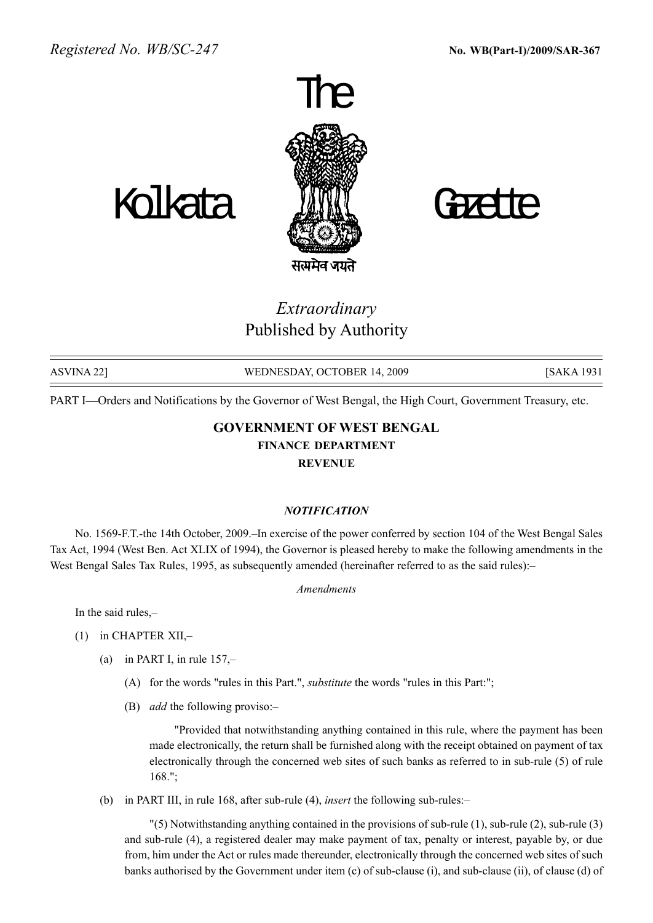

Kolkata *JIN*II Gadte



Extraordinary Published by Authority

| ASVINA 22] | WEDNESDAY, OCTOBER 14, 2009 | <b>[SAKA 1931</b> |
|------------|-----------------------------|-------------------|

PART I—Orders and Notifications by the Governor of West Bengal, the High Court, Government Treasury, etc.

## GOVERNMENT OF WEST BENGAL FINANCE DEPARTMENT REVENUE

## **NOTIFICATION**

No. 1569-F.T.-the 14th October, 2009.–In exercise of the power conferred by section 104 of the West Bengal Sales Tax Act, 1994 (West Ben. Act XLIX of 1994), the Governor is pleased hereby to make the following amendments in the West Bengal Sales Tax Rules, 1995, as subsequently amended (hereinafter referred to as the said rules):-

## Amendments

In the said rules,

- (1) in CHAPTER XII, $-$ 
	- (a) in PART I, in rule  $157$ ,-
		- (A) for the words "rules in this Part.", substitute the words "rules in this Part:";
		- (B) *add* the following proviso:-

"Provided that notwithstanding anything contained in this rule, where the payment has been made electronically, the return shall be furnished along with the receipt obtained on payment of tax electronically through the concerned web sites of such banks as referred to in sub-rule (5) of rule 168.";

(b) in PART III, in rule 168, after sub-rule  $(4)$ , *insert* the following sub-rules:-

"(5) Notwithstanding anything contained in the provisions of sub-rule (1), sub-rule (2), sub-rule (3) and sub-rule (4), a registered dealer may make payment of tax, penalty or interest, payable by, or due from, him under the Act or rules made thereunder, electronically through the concerned web sites of such banks authorised by the Government under item (c) of sub-clause (i), and sub-clause (ii), of clause (d) of